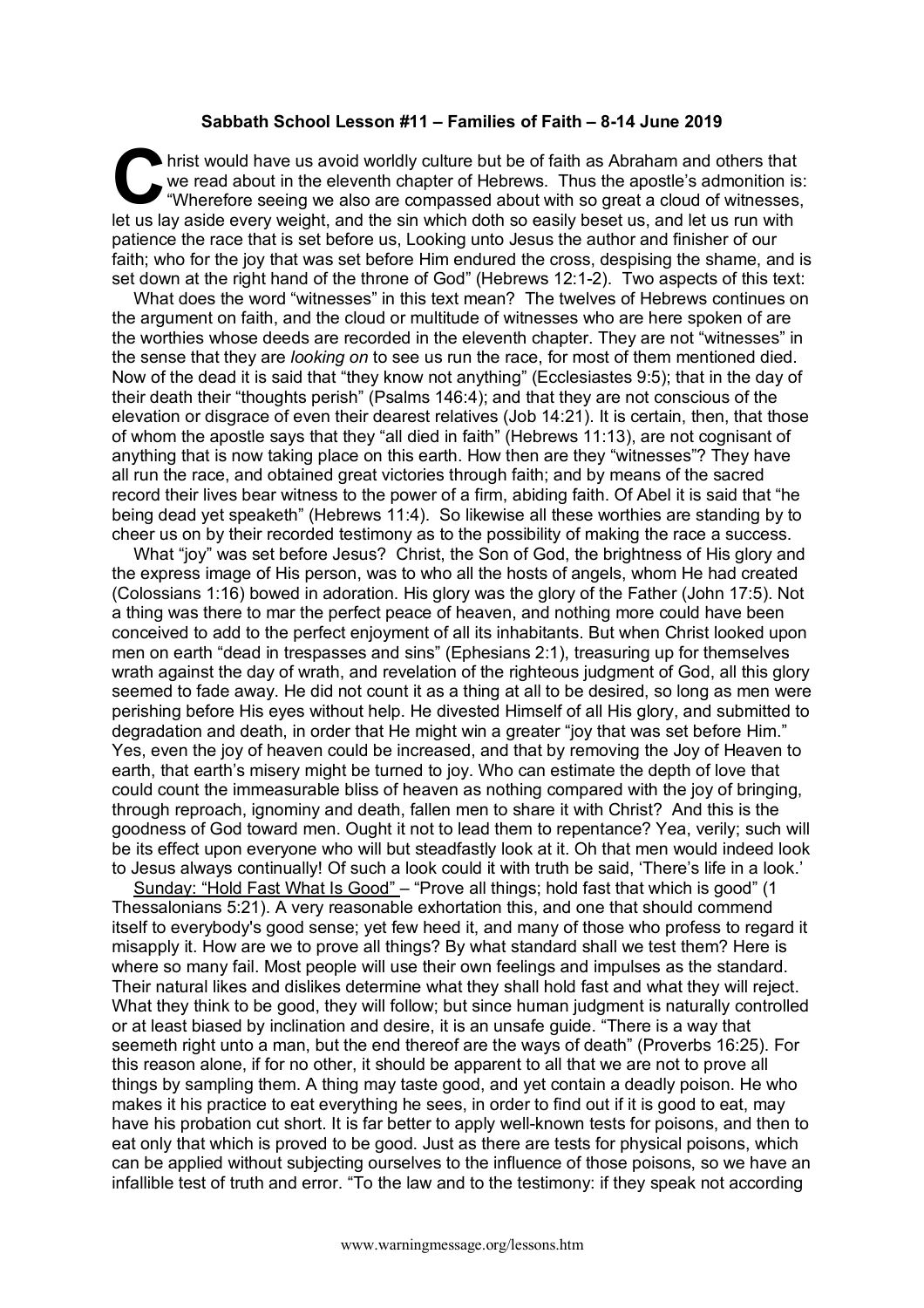## **Sabbath School Lesson #11 – Families of Faith – 8-14 June 2019**

hrist would have us avoid worldly culture but be of faith as Abraham and others that we read about in the eleventh chapter of Hebrews. Thus the apostle's admonition is: "Wherefore seeing we also are compassed about with so great a cloud of witnesses, let us lay aside every weight, and the sin which doth so easily beset us, and let us run with patience the race that is set before us, Looking unto Jesus the author and finisher of our faith; who for the joy that was set before Him endured the cross, despising the shame, and is set down at the right hand of the throne of God" (Hebrews 12:1-2). Two aspects of this text: C hristene

What does the word "witnesses" in this text mean? The twelves of Hebrews continues on the argument on faith, and the cloud or multitude of witnesses who are here spoken of are the worthies whose deeds are recorded in the eleventh chapter. They are not "witnesses" in the sense that they are *looking on* to see us run the race, for most of them mentioned died. Now of the dead it is said that "they know not anything" (Ecclesiastes 9:5); that in the day of their death their "thoughts perish" (Psalms 146:4); and that they are not conscious of the elevation or disgrace of even their dearest relatives (Job 14:21). It is certain, then, that those of whom the apostle says that they "all died in faith" (Hebrews 11:13), are not cognisant of anything that is now taking place on this earth. How then are they "witnesses"? They have all run the race, and obtained great victories through faith; and by means of the sacred record their lives bear witness to the power of a firm, abiding faith. Of Abel it is said that "he being dead yet speaketh" (Hebrews 11:4). So likewise all these worthies are standing by to cheer us on by their recorded testimony as to the possibility of making the race a success.

What "joy" was set before Jesus? Christ, the Son of God, the brightness of His glory and the express image of His person, was to who all the hosts of angels, whom He had created (Colossians 1:16) bowed in adoration. His glory was the glory of the Father (John 17:5). Not a thing was there to mar the perfect peace of heaven, and nothing more could have been conceived to add to the perfect enjoyment of all its inhabitants. But when Christ looked upon men on earth "dead in trespasses and sins" (Ephesians 2:1), treasuring up for themselves wrath against the day of wrath, and revelation of the righteous judgment of God, all this glory seemed to fade away. He did not count it as a thing at all to be desired, so long as men were perishing before His eyes without help. He divested Himself of all His glory, and submitted to degradation and death, in order that He might win a greater "joy that was set before Him." Yes, even the joy of heaven could be increased, and that by removing the Joy of Heaven to earth, that earth's misery might be turned to joy. Who can estimate the depth of love that could count the immeasurable bliss of heaven as nothing compared with the joy of bringing, through reproach, ignominy and death, fallen men to share it with Christ? And this is the goodness of God toward men. Ought it not to lead them to repentance? Yea, verily; such will be its effect upon everyone who will but steadfastly look at it. Oh that men would indeed look to Jesus always continually! Of such a look could it with truth be said, 'There's life in a look.'

Sunday: "Hold Fast What Is Good" – "Prove all things; hold fast that which is good" (1 Thessalonians 5:21). A very reasonable exhortation this, and one that should commend itself to everybody's good sense; yet few heed it, and many of those who profess to regard it misapply it. How are we to prove all things? By what standard shall we test them? Here is where so many fail. Most people will use their own feelings and impulses as the standard. Their natural likes and dislikes determine what they shall hold fast and what they will reject. What they think to be good, they will follow; but since human judgment is naturally controlled or at least biased by inclination and desire, it is an unsafe guide. "There is a way that seemeth right unto a man, but the end thereof are the ways of death" (Proverbs 16:25). For this reason alone, if for no other, it should be apparent to all that we are not to prove all things by sampling them. A thing may taste good, and yet contain a deadly poison. He who makes it his practice to eat everything he sees, in order to find out if it is good to eat, may have his probation cut short. It is far better to apply well-known tests for poisons, and then to eat only that which is proved to be good. Just as there are tests for physical poisons, which can be applied without subjecting ourselves to the influence of those poisons, so we have an infallible test of truth and error. "To the law and to the testimony: if they speak not according